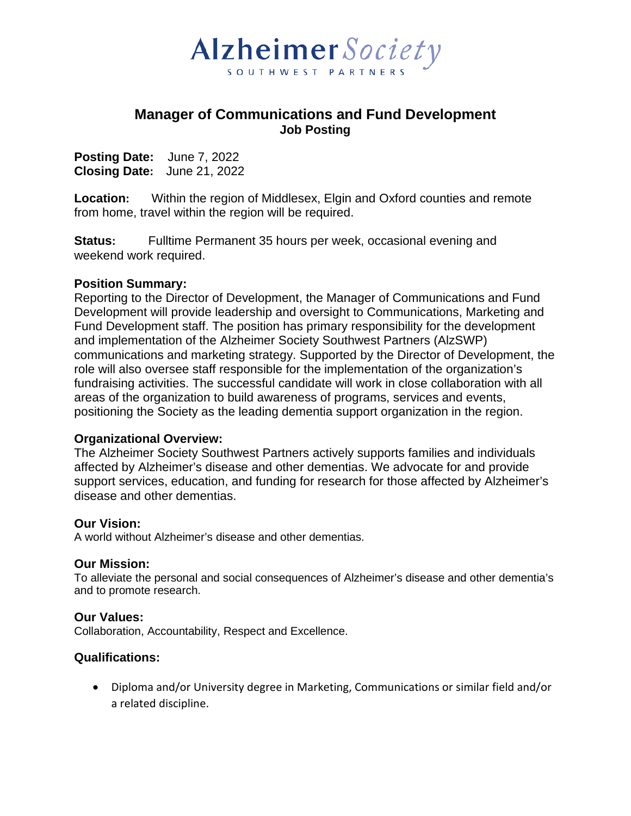

## **Manager of Communications and Fund Development Job Posting**

**Posting Date:** June 7, 2022 **Closing Date:** June 21, 2022

**Location:** Within the region of Middlesex, Elgin and Oxford counties and remote from home, travel within the region will be required.

**Status:** Fulltime Permanent 35 hours per week, occasional evening and weekend work required.

## **Position Summary:**

Reporting to the Director of Development, the Manager of Communications and Fund Development will provide leadership and oversight to Communications, Marketing and Fund Development staff. The position has primary responsibility for the development and implementation of the Alzheimer Society Southwest Partners (AlzSWP) communications and marketing strategy. Supported by the Director of Development, the role will also oversee staff responsible for the implementation of the organization's fundraising activities. The successful candidate will work in close collaboration with all areas of the organization to build awareness of programs, services and events, positioning the Society as the leading dementia support organization in the region.

## **Organizational Overview:**

The Alzheimer Society Southwest Partners actively supports families and individuals affected by Alzheimer's disease and other dementias. We advocate for and provide support services, education, and funding for research for those affected by Alzheimer's disease and other dementias.

## **Our Vision:**

A world without Alzheimer's disease and other dementias.

## **Our Mission:**

To alleviate the personal and social consequences of Alzheimer's disease and other dementia's and to promote research.

## **Our Values:**

Collaboration, Accountability, Respect and Excellence.

## **Qualifications:**

• Diploma and/or University degree in Marketing, Communications or similar field and/or a related discipline.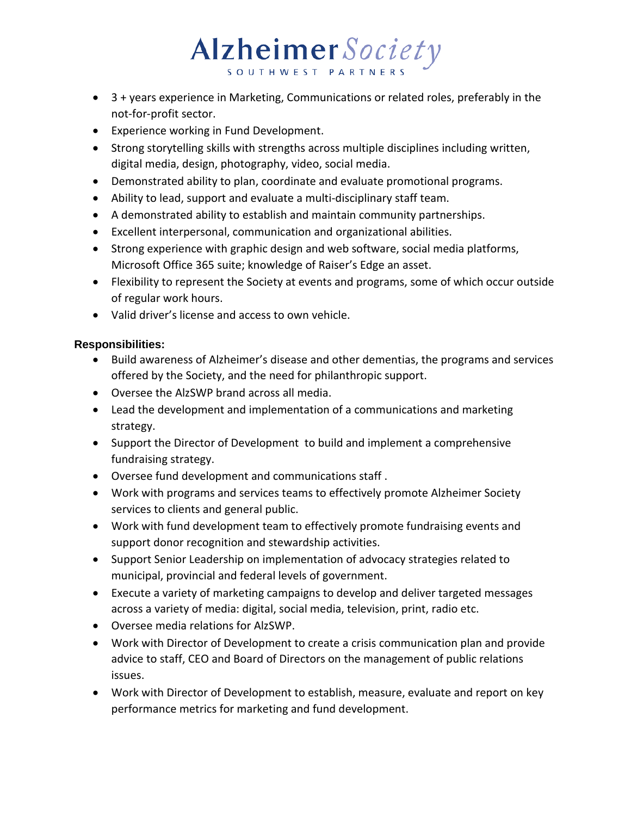# Alzheimer Society

- 3 + years experience in Marketing, Communications or related roles, preferably in the not-for-profit sector.
- Experience working in Fund Development.
- Strong storytelling skills with strengths across multiple disciplines including written, digital media, design, photography, video, social media.
- Demonstrated ability to plan, coordinate and evaluate promotional programs.
- Ability to lead, support and evaluate a multi-disciplinary staff team.
- A demonstrated ability to establish and maintain community partnerships.
- Excellent interpersonal, communication and organizational abilities.
- Strong experience with graphic design and web software, social media platforms, Microsoft Office 365 suite; knowledge of Raiser's Edge an asset.
- Flexibility to represent the Society at events and programs, some of which occur outside of regular work hours.
- Valid driver's license and access to own vehicle.

## **Responsibilities:**

- Build awareness of Alzheimer's disease and other dementias, the programs and services offered by the Society, and the need for philanthropic support.
- Oversee the AlzSWP brand across all media.
- Lead the development and implementation of a communications and marketing strategy.
- Support the Director of Development to build and implement a comprehensive fundraising strategy.
- Oversee fund development and communications staff .
- Work with programs and services teams to effectively promote Alzheimer Society services to clients and general public.
- Work with fund development team to effectively promote fundraising events and support donor recognition and stewardship activities.
- Support Senior Leadership on implementation of advocacy strategies related to municipal, provincial and federal levels of government.
- Execute a variety of marketing campaigns to develop and deliver targeted messages across a variety of media: digital, social media, television, print, radio etc.
- Oversee media relations for AlzSWP.
- Work with Director of Development to create a crisis communication plan and provide advice to staff, CEO and Board of Directors on the management of public relations issues.
- Work with Director of Development to establish, measure, evaluate and report on key performance metrics for marketing and fund development.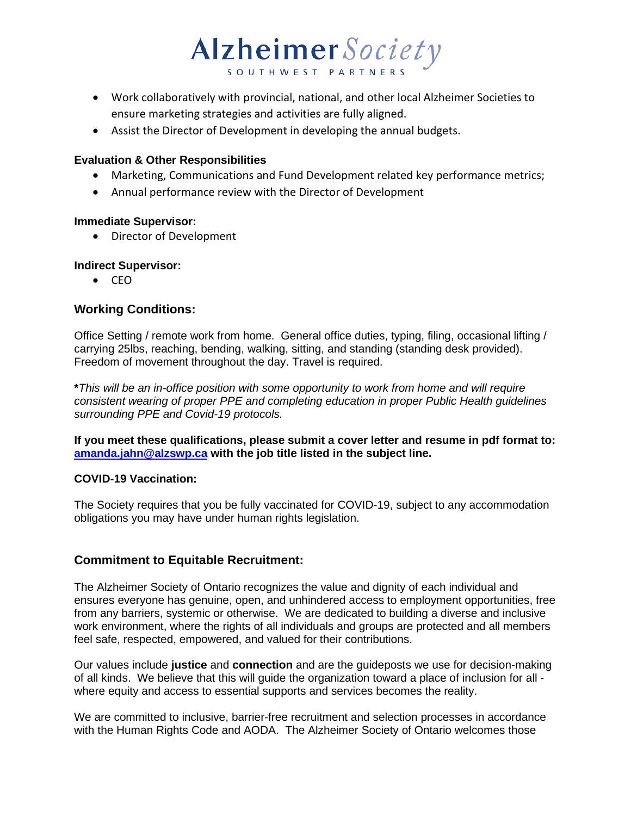

- Work collaboratively with provincial, national, and other local Alzheimer Societies to ensure marketing strategies and activities are fully aligned.
- Assist the Director of Development in developing the annual budgets.

## **Evaluation & Other Responsibilities**

- Marketing, Communications and Fund Development related key performance metrics;
- Annual performance review with the Director of Development

#### **Immediate Supervisor:**

• Director of Development

## **Indirect Supervisor:**

• CEO

## **Working Conditions:**

Office Setting / remote work from home. General office duties, typing, filing, occasional lifting / carrying 25lbs, reaching, bending, walking, sitting, and standing (standing desk provided). Freedom of movement throughout the day. Travel is required.

**\****This will be an in-office position with some opportunity to work from home and will require consistent wearing of proper PPE and completing education in proper Public Health guidelines surrounding PPE and Covid-19 protocols.* 

**If you meet these qualifications, please submit a cover letter and resume in pdf format to: [amanda.jahn@alzswp.ca](mailto:amanda.jahn@alzswp.ca) with the job title listed in the subject line.** 

## **COVID-19 Vaccination:**

The Society requires that you be fully vaccinated for COVID-19, subject to any accommodation obligations you may have under human rights legislation.

## **Commitment to Equitable Recruitment:**

The Alzheimer Society of Ontario recognizes the value and dignity of each individual and ensures everyone has genuine, open, and unhindered access to employment opportunities, free from any barriers, systemic or otherwise. We are dedicated to building a diverse and inclusive work environment, where the rights of all individuals and groups are protected and all members feel safe, respected, empowered, and valued for their contributions.

Our values include **justice** and **connection** and are the guideposts we use for decision-making of all kinds. We believe that this will guide the organization toward a place of inclusion for all where equity and access to essential supports and services becomes the reality.

We are committed to inclusive, barrier-free recruitment and selection processes in accordance with the Human Rights Code and AODA. The Alzheimer Society of Ontario welcomes those